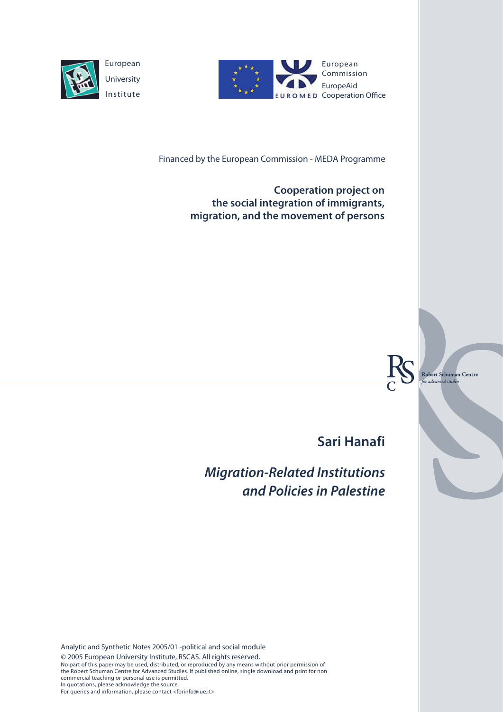



Financed by the European Commission - MEDA Programme

**Cooperation project on the social integration of immigrants, migration, and the movement of persons**

> Robert Schuman Centre or advanced studie

**Sari Hanafi**

**Migration-Related Institutions and Policies in Palestine**

Analytic and Synthetic Notes 2005/01 -political and social module © 2005 European University Institute, RSCAS. All rights reserved. No part of this paper may be used, distributed, or reproduced by any means without prior permission of the Robert Schuman Centre for Advanced Studies. If published online, single download and print for non commercial teaching or personal use is permitted. In quotations, please acknowledge the source. For queries and information, please contact <forinfo@iue.it>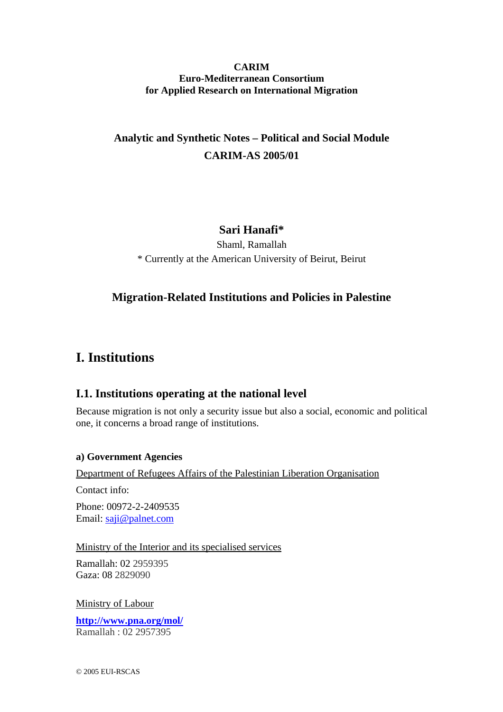# **CARIM Euro-Mediterranean Consortium for Applied Research on International Migration**

# **Analytic and Synthetic Notes – Political and Social Module CARIM-AS 2005/01**

# **Sari Hanafi\***

Shaml, Ramallah \* Currently at the American University of Beirut, Beirut

# **Migration-Related Institutions and Policies in Palestine**

# **I. Institutions**

# **I.1. Institutions operating at the national level**

Because migration is not only a security issue but also a social, economic and political one, it concerns a broad range of institutions.

# **a) Government Agencies**

Department of Refugees Affairs of the Palestinian Liberation Organisation

Contact info:

Phone: 00972-2-2409535 Email: [saji@palnet.com](mailto:saji@palnet.com)

Ministry of the Interior and its specialised services

Ramallah: 02 2959395 Gaza: 08 2829090

Ministry of Labour

**<http://www.pna.org/mol/>** Ramallah : 02 2957395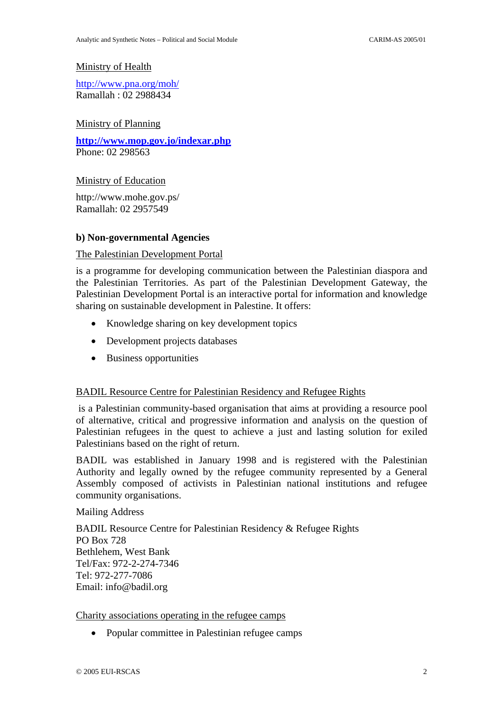## Ministry of Health

<http://www.pna.org/moh/> Ramallah : 02 2988434

Ministry of Planning

**<http://www.mop.gov.jo/indexar.php>** Phone: 02 298563

Ministry of Education

http://www.mohe.gov.ps/ Ramallah: 02 2957549

# **b) Non-governmental Agencies**

# The Palestinian Development Portal

is a programme for developing communication between the Palestinian diaspora and the Palestinian Territories. As part of the Palestinian Development Gateway, the Palestinian Development Portal is an interactive portal for information and knowledge sharing on sustainable development in Palestine. It offers:

- Knowledge sharing on key development topics
- Development projects databases
- Business opportunities

## BADIL Resource Centre for Palestinian Residency and Refugee Rights

is a Palestinian community-based organisation that aims at providing a resource pool of alternative, critical and progressive information and analysis on the question of Palestinian refugees in the quest to achieve a just and lasting solution for exiled Palestinians based on the right of return.

BADIL was established in January 1998 and is registered with the Palestinian Authority and legally owned by the refugee community represented by a General Assembly composed of activists in Palestinian national institutions and refugee community organisations.

## Mailing Address

BADIL Resource Centre for Palestinian Residency & Refugee Rights PO Box 728 Bethlehem, West Bank Tel/Fax: 972-2-274-7346 Tel: 972-277-7086 Email: info@badil.org

Charity associations operating in the refugee camps

• Popular committee in Palestinian refugee camps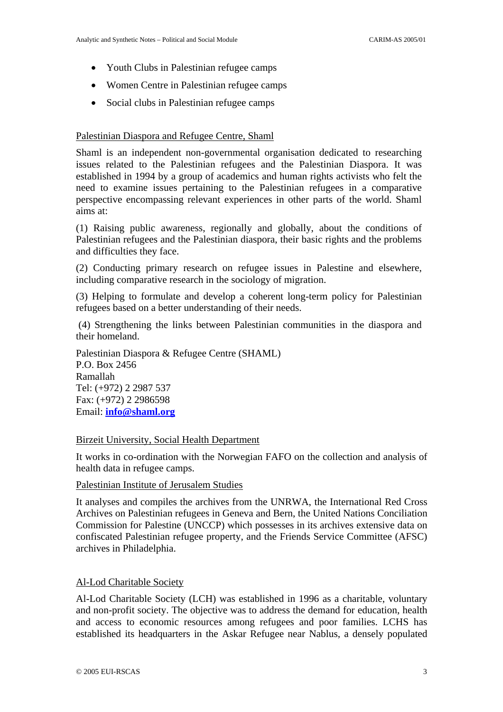- Youth Clubs in Palestinian refugee camps
- Women Centre in Palestinian refugee camps
- Social clubs in Palestinian refugee camps

# Palestinian Diaspora and Refugee Centre, Shaml

Shaml is an independent non-governmental organisation dedicated to researching issues related to the Palestinian refugees and the Palestinian Diaspora. It was established in 1994 by a group of academics and human rights activists who felt the need to examine issues pertaining to the Palestinian refugees in a comparative perspective encompassing relevant experiences in other parts of the world. Shaml aims at:

(1) Raising public awareness, regionally and globally, about the conditions of Palestinian refugees and the Palestinian diaspora, their basic rights and the problems and difficulties they face.

(2) Conducting primary research on refugee issues in Palestine and elsewhere, including comparative research in the sociology of migration.

(3) Helping to formulate and develop a coherent long-term policy for Palestinian refugees based on a better understanding of their needs.

(4) Strengthening the links between Palestinian communities in the diaspora and their homeland.

Palestinian Diaspora & Refugee Centre (SHAML) P.O. Box 2456 Ramallah Tel: (+972) 2 2987 537 Fax: (+972) 2 2986598 Email: **[info@shaml.org](mailto:info@shaml.org)**

# Birzeit University, Social Health Department

It works in co-ordination with the Norwegian FAFO on the collection and analysis of health data in refugee camps.

# Palestinian Institute of Jerusalem Studies

It analyses and compiles the archives from the UNRWA, the International Red Cross Archives on Palestinian refugees in Geneva and Bern, the United Nations Conciliation Commission for Palestine (UNCCP) which possesses in its archives extensive data on confiscated Palestinian refugee property, and the Friends Service Committee (AFSC) archives in Philadelphia.

# Al-Lod Charitable Society

Al-Lod Charitable Society (LCH) was established in 1996 as a charitable, voluntary and non-profit society. The objective was to address the demand for education, health and access to economic resources among refugees and poor families. LCHS has established its headquarters in the Askar Refugee near Nablus, a densely populated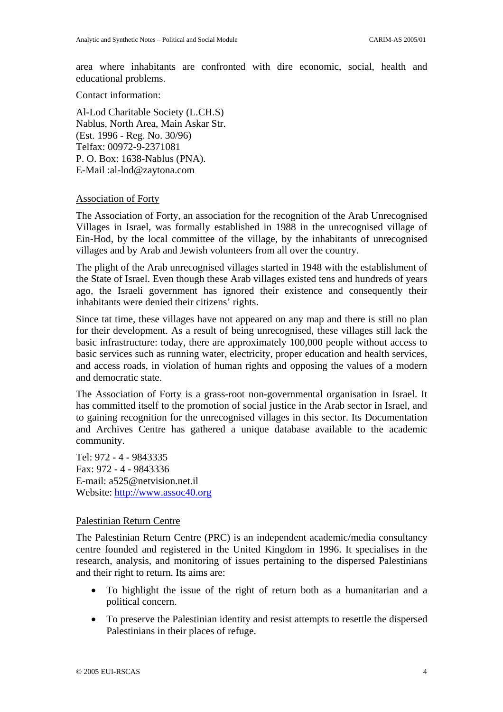area where inhabitants are confronted with dire economic, social, health and educational problems.

Contact information:

Al-Lod Charitable Society (L.CH.S) Nablus, North Area, Main Askar Str. (Est. 1996 - Reg. No. 30/96) Telfax: 00972-9-2371081 P. O. Box: 1638-Nablus (PNA). E-Mail :al-lod@zaytona.com

### Association of Forty

The Association of Forty, an association for the recognition of the Arab Unrecognised Villages in Israel, was formally established in 1988 in the unrecognised village of Ein-Hod, by the local committee of the village, by the inhabitants of unrecognised villages and by Arab and Jewish volunteers from all over the country.

The plight of the Arab unrecognised villages started in 1948 with the establishment of the State of Israel. Even though these Arab villages existed tens and hundreds of years ago, the Israeli government has ignored their existence and consequently their inhabitants were denied their citizens' rights.

Since tat time, these villages have not appeared on any map and there is still no plan for their development. As a result of being unrecognised, these villages still lack the basic infrastructure: today, there are approximately 100,000 people without access to basic services such as running water, electricity, proper education and health services, and access roads, in violation of human rights and opposing the values of a modern and democratic state.

The Association of Forty is a grass-root non-governmental organisation in Israel. It has committed itself to the promotion of social justice in the Arab sector in Israel, and to gaining recognition for the unrecognised villages in this sector. Its Documentation and Archives Centre has gathered a unique database available to the academic community.

Tel: 972 - 4 - 9843335 Fax: 972 - 4 - 9843336 E-mail: a525@netvision.net.il Website: [http://www.assoc40.org](http://www.assoc40.org/)

# Palestinian Return Centre

The Palestinian Return Centre (PRC) is an independent academic/media consultancy centre founded and registered in the United Kingdom in 1996. It specialises in the research, analysis, and monitoring of issues pertaining to the dispersed Palestinians and their right to return. Its aims are:

- To highlight the issue of the right of return both as a humanitarian and a political concern.
- To preserve the Palestinian identity and resist attempts to resettle the dispersed Palestinians in their places of refuge.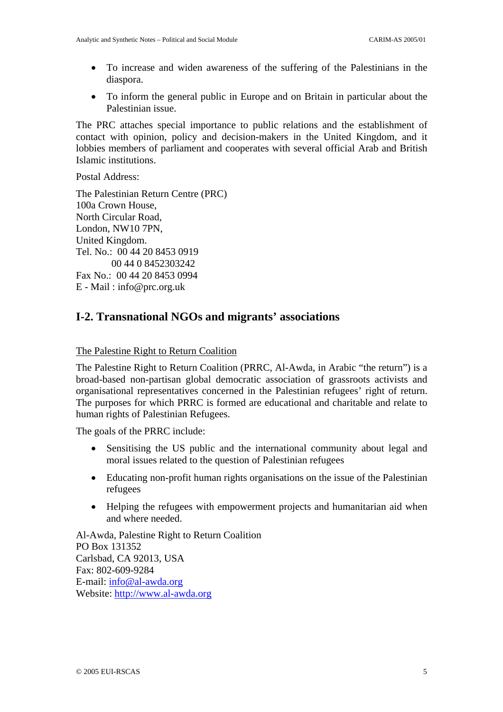- To increase and widen awareness of the suffering of the Palestinians in the diaspora.
- To inform the general public in Europe and on Britain in particular about the Palestinian issue.

The PRC attaches special importance to public relations and the establishment of contact with opinion, policy and decision-makers in the United Kingdom, and it lobbies members of parliament and cooperates with several official Arab and British Islamic institutions.

Postal Address:

The Palestinian Return Centre (PRC) 100a Crown House, North Circular Road, London, NW10 7PN, United Kingdom. Tel. No.: 00 44 20 8453 0919 00 44 0 8452303242 Fax No.: 00 44 20 8453 0994 E - Mail : info@prc.org.uk

# **I-2. Transnational NGOs and migrants' associations**

## The Palestine Right to Return Coalition

The Palestine Right to Return Coalition (PRRC, Al-Awda, in Arabic "the return") is a broad-based non-partisan global democratic association of grassroots activists and organisational representatives concerned in the Palestinian refugees' right of return. The purposes for which PRRC is formed are educational and charitable and relate to human rights of Palestinian Refugees.

The goals of the PRRC include:

- Sensitising the US public and the international community about legal and moral issues related to the question of Palestinian refugees
- Educating non-profit human rights organisations on the issue of the Palestinian refugees
- Helping the refugees with empowerment projects and humanitarian aid when and where needed.

Al-Awda, Palestine Right to Return Coalition PO Box 131352 Carlsbad, CA 92013, USA Fax: 802-609-9284 E-mail: [info@al-awda.org](mailto:info@al-awda.org) Website: [http://www.al-awda.org](http://www.al-awda.org/)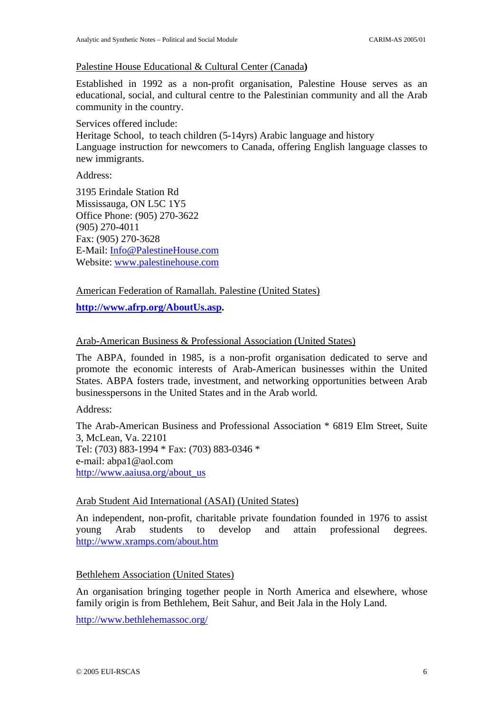### Palestine House Educational & Cultural Center (Canada**)**

Established in 1992 as a non-profit organisation, Palestine House serves as an educational, social, and cultural centre to the Palestinian community and all the Arab community in the country.

### Services offered include:

Heritage School, to teach children (5-14yrs) Arabic language and history Language instruction for newcomers to Canada, offering English language classes to new immigrants.

Address:

3195 Erindale Station Rd Mississauga, ON L5C 1Y5 Office Phone: (905) 270-3622 (905) 270-4011 Fax: (905) 270-3628 E-Mail: [Info@PalestineHouse.com](mailto:Info@PalestineHouse.com) Website: [www.palestinehouse.com](http://www.palestinehouse.com/)

American Federation of Ramallah. Palestine (United States)

**<http://www.afrp.org/AboutUs.asp>.** 

## Arab-American Business & Professional Association (United States)

The ABPA, founded in 1985, is a non-profit organisation dedicated to serve and promote the economic interests of Arab-American businesses within the United States. ABPA fosters trade, investment, and networking opportunities between Arab businesspersons in the United States and in the Arab world*.*

Address:

The Arab-American Business and Professional Association \* 6819 Elm Street, Suite 3, McLean, Va. 22101 Tel: (703) 883-1994 \* Fax: (703) 883-0346 \* e-mail: abpa1@aol.com [http://www.aaiusa.org/about\\_us](http://www.aaiusa.org/about_us)

## Arab Student Aid International (ASAI) (United States)

An independent, non-profit, charitable private foundation founded in 1976 to assist young Arab students to develop and attain professional degrees. <http://www.xramps.com/about.htm>

## Bethlehem Association (United States)

An organisation bringing together people in North America and elsewhere, whose family origin is from Bethlehem, Beit Sahur, and Beit Jala in the Holy Land.

<http://www.bethlehemassoc.org/>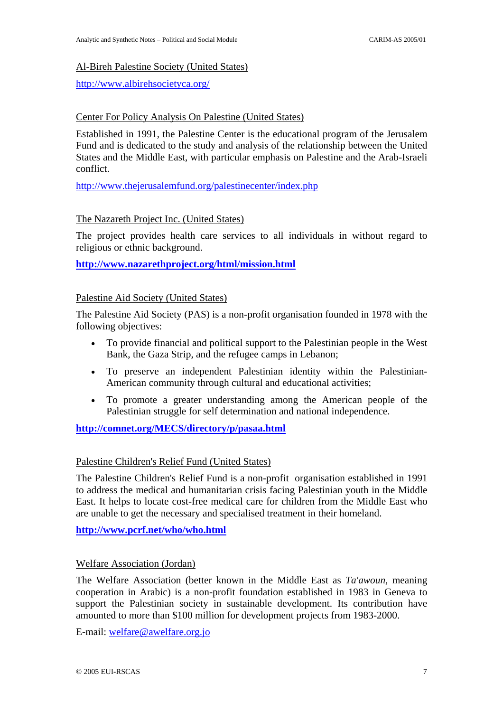## Al-Bireh Palestine Society (United States)

<http://www.albirehsocietyca.org/>

## Center For Policy Analysis On Palestine (United States)

Established in 1991, the Palestine Center is the educational program of the Jerusalem Fund and is dedicated to the study and analysis of the relationship between the United States and the Middle East, with particular emphasis on Palestine and the Arab-Israeli conflict.

<http://www.thejerusalemfund.org/palestinecenter/index.php>

## The Nazareth Project Inc. (United States)

The project provides health care services to all individuals in without regard to religious or ethnic background.

**<http://www.nazarethproject.org/html/mission.html>**

### Palestine Aid Society (United States)

The Palestine Aid Society (PAS) is a non-profit organisation founded in 1978 with the following objectives:

- To provide financial and political support to the Palestinian people in the West Bank, the Gaza Strip, and the refugee camps in Lebanon;
- To preserve an independent Palestinian identity within the Palestinian-American community through cultural and educational activities;
- To promote a greater understanding among the American people of the Palestinian struggle for self determination and national independence.

**<http://comnet.org/MECS/directory/p/pasaa.html>**

## Palestine Children's Relief Fund (United States)

The Palestine Children's Relief Fund is a non-profit organisation established in 1991 to address the medical and humanitarian crisis facing Palestinian youth in the Middle East. It helps to locate cost-free medical care for children from the Middle East who are unable to get the necessary and specialised treatment in their homeland.

**<http://www.pcrf.net/who/who.html>**

#### Welfare Association (Jordan)

The Welfare Association (better known in the Middle East as *Ta'awoun*, meaning cooperation in Arabic) is a non-profit foundation established in 1983 in Geneva to support the Palestinian society in sustainable development. Its contribution have amounted to more than \$100 million for development projects from 1983-2000.

E-mail: [welfare@awelfare.org.jo](mailto:welfare@awelfare.org.jo)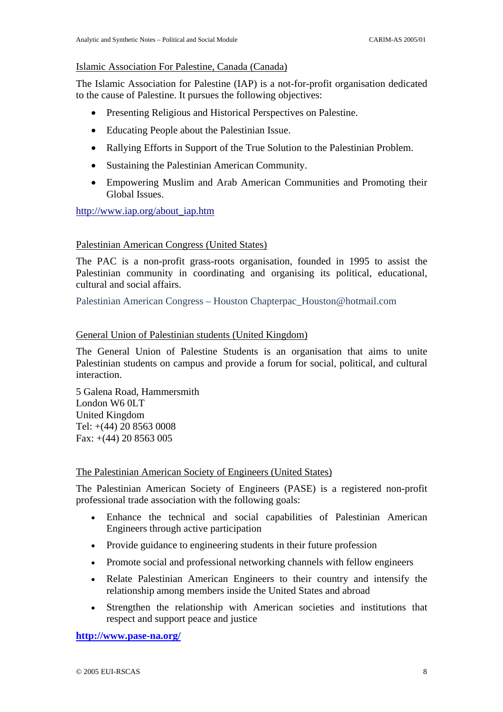## Islamic Association For Palestine, Canada (Canada)

The Islamic Association for Palestine (IAP) is a not-for-profit organisation dedicated to the cause of Palestine. It pursues the following objectives:

- Presenting Religious and Historical Perspectives on Palestine.
- Educating People about the Palestinian Issue.
- Rallying Efforts in Support of the True Solution to the Palestinian Problem.
- Sustaining the Palestinian American Community.
- Empowering Muslim and Arab American Communities and Promoting their Global Issues.

[http://www.iap.org/about\\_iap.htm](http://www.iap.org/about_iap.htm)

### Palestinian American Congress (United States)

The PAC is a non-profit grass-roots organisation, founded in 1995 to assist the Palestinian community in coordinating and organising its political, educational, cultural and social affairs.

Palestinian American Congress – Houston Chapterpac\_Houston@hotmail.com

### General Union of Palestinian students (United Kingdom)

The General Union of Palestine Students is an organisation that aims to unite Palestinian students on campus and provide a forum for social, political, and cultural interaction.

5 Galena Road, Hammersmith London W6 0LT United Kingdom Tel: +(44) 20 8563 0008 Fax:  $+(44)$  20 8563 005

#### The Palestinian American Society of Engineers (United States)

The Palestinian American Society of Engineers (PASE) is a registered non-profit professional trade association with the following goals:

- Enhance the technical and social capabilities of Palestinian American Engineers through active participation
- Provide guidance to engineering students in their future profession
- Promote social and professional networking channels with fellow engineers
- Relate Palestinian American Engineers to their country and intensify the relationship among members inside the United States and abroad
- Strengthen the relationship with American societies and institutions that respect and support peace and justice

**<http://www.pase-na.org/>**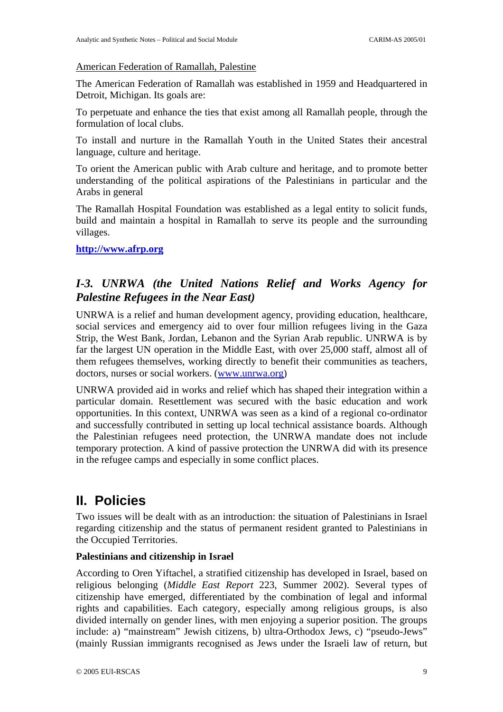## American Federation of Ramallah, Palestine

The American Federation of Ramallah was established in 1959 and Headquartered in Detroit, Michigan. Its goals are:

To perpetuate and enhance the ties that exist among all Ramallah people, through the formulation of local clubs.

To install and nurture in the Ramallah Youth in the United States their ancestral language, culture and heritage.

To orient the American public with Arab culture and heritage, and to promote better understanding of the political aspirations of the Palestinians in particular and the Arabs in general

The Ramallah Hospital Foundation was established as a legal entity to solicit funds, build and maintain a hospital in Ramallah to serve its people and the surrounding villages.

**[http://www.afrp.org](http://www.afrp.org/)**

# *I-3. UNRWA (the United Nations Relief and Works Agency for Palestine Refugees in the Near East)*

UNRWA is a relief and human development agency, providing education, healthcare, social services and emergency aid to over four million refugees living in the Gaza Strip, the West Bank, Jordan, Lebanon and the Syrian Arab republic. UNRWA is by far the largest UN operation in the Middle East, with over 25,000 staff, almost all of them refugees themselves, working directly to benefit their communities as teachers, doctors, nurses or social workers. ([www.unrwa.org\)](http://www.unrwa.org/)

UNRWA provided aid in works and relief which has shaped their integration within a particular domain. Resettlement was secured with the basic education and work opportunities. In this context, UNRWA was seen as a kind of a regional co-ordinator and successfully contributed in setting up local technical assistance boards. Although the Palestinian refugees need protection, the UNRWA mandate does not include temporary protection. A kind of passive protection the UNRWA did with its presence in the refugee camps and especially in some conflict places.

# **II. Policies**

Two issues will be dealt with as an introduction: the situation of Palestinians in Israel regarding citizenship and the status of permanent resident granted to Palestinians in the Occupied Territories.

## **Palestinians and citizenship in Israel**

According to Oren Yiftachel, a stratified citizenship has developed in Israel, based on religious belonging (*Middle East Report* 223, Summer 2002). Several types of citizenship have emerged, differentiated by the combination of legal and informal rights and capabilities. Each category, especially among religious groups, is also divided internally on gender lines, with men enjoying a superior position. The groups include: a) "mainstream" Jewish citizens, b) ultra-Orthodox Jews, c) "pseudo-Jews" (mainly Russian immigrants recognised as Jews under the Israeli law of return, but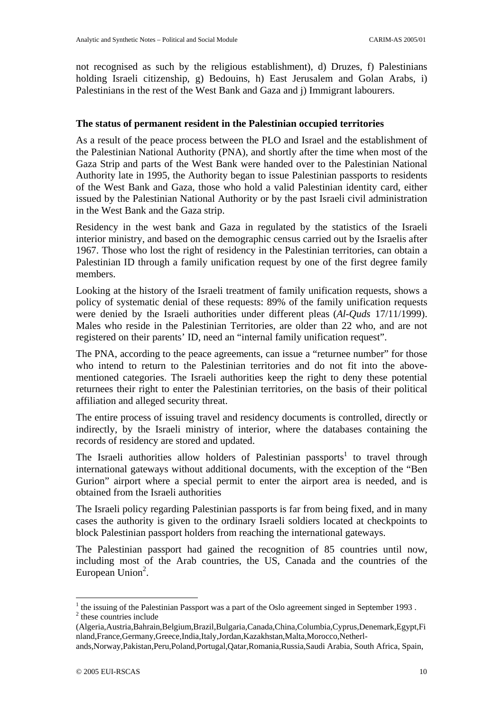not recognised as such by the religious establishment), d) Druzes, f) Palestinians holding Israeli citizenship, g) Bedouins, h) East Jerusalem and Golan Arabs, i) Palestinians in the rest of the West Bank and Gaza and j) Immigrant labourers.

## **The status of permanent resident in the Palestinian occupied territories**

As a result of the peace process between the PLO and Israel and the establishment of the Palestinian National Authority (PNA), and shortly after the time when most of the Gaza Strip and parts of the West Bank were handed over to the Palestinian National Authority late in 1995, the Authority began to issue Palestinian passports to residents of the West Bank and Gaza, those who hold a valid Palestinian identity card, either issued by the Palestinian National Authority or by the past Israeli civil administration in the West Bank and the Gaza strip.

Residency in the west bank and Gaza in regulated by the statistics of the Israeli interior ministry, and based on the demographic census carried out by the Israelis after 1967. Those who lost the right of residency in the Palestinian territories, can obtain a Palestinian ID through a family unification request by one of the first degree family members.

Looking at the history of the Israeli treatment of family unification requests, shows a policy of systematic denial of these requests: 89% of the family unification requests were denied by the Israeli authorities under different pleas (*Al-Quds* 17/11/1999). Males who reside in the Palestinian Territories, are older than 22 who, and are not registered on their parents' ID, need an "internal family unification request".

The PNA, according to the peace agreements, can issue a "returnee number" for those who intend to return to the Palestinian territories and do not fit into the abovementioned categories. The Israeli authorities keep the right to deny these potential returnees their right to enter the Palestinian territories, on the basis of their political affiliation and alleged security threat.

The entire process of issuing travel and residency documents is controlled, directly or indirectly, by the Israeli ministry of interior, where the databases containing the records of residency are stored and updated.

The Israeli authorities allow holders of Palestinian passports<sup>[1](#page-10-0)</sup> to travel through international gateways without additional documents, with the exception of the "Ben Gurion" airport where a special permit to enter the airport area is needed, and is obtained from the Israeli authorities

The Israeli policy regarding Palestinian passports is far from being fixed, and in many cases the authority is given to the ordinary Israeli soldiers located at checkpoints to block Palestinian passport holders from reaching the international gateways.

The Palestinian passport had gained the recognition of 85 countries until now, including most of the Arab countries, the US, Canada and the countries of the European Union<sup>[2](#page-10-1)</sup>.

 $\overline{a}$ 

<span id="page-10-1"></span><span id="page-10-0"></span><sup>&</sup>lt;sup>1</sup> the issuing of the Palestinian Passport was a part of the Oslo agreement singed in September 1993.  $\frac{1}{2}$  these countries include

<sup>(</sup>Algeria,Austria,Bahrain,Belgium,Brazil,Bulgaria,Canada,China,Columbia,Cyprus,Denemark,Egypt,Fi nland,France,Germany,Greece,India,Italy,Jordan,Kazakhstan,Malta,Morocco,Netherl-

ands,Norway,Pakistan,Peru,Poland,Portugal,Qatar,Romania,Russia,Saudi Arabia, South Africa, Spain,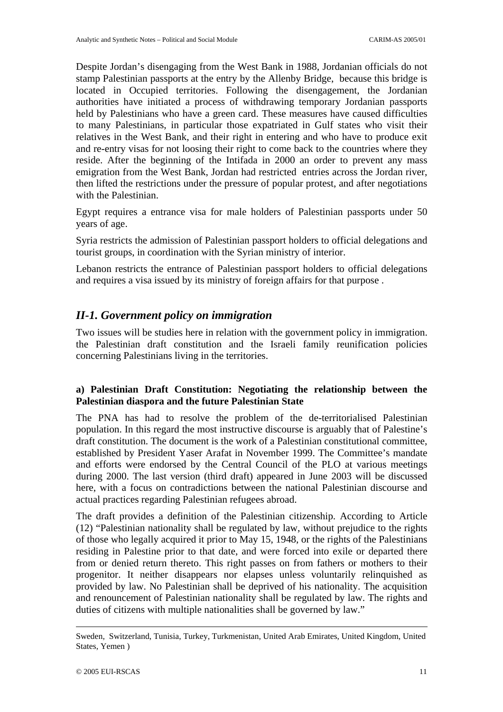Despite Jordan's disengaging from the West Bank in 1988, Jordanian officials do not stamp Palestinian passports at the entry by the Allenby Bridge, because this bridge is located in Occupied territories. Following the disengagement, the Jordanian authorities have initiated a process of withdrawing temporary Jordanian passports held by Palestinians who have a green card. These measures have caused difficulties to many Palestinians, in particular those expatriated in Gulf states who visit their relatives in the West Bank, and their right in entering and who have to produce exit and re-entry visas for not loosing their right to come back to the countries where they reside. After the beginning of the Intifada in 2000 an order to prevent any mass emigration from the West Bank, Jordan had restricted entries across the Jordan river, then lifted the restrictions under the pressure of popular protest, and after negotiations with the Palestinian.

Egypt requires a entrance visa for male holders of Palestinian passports under 50 years of age.

Syria restricts the admission of Palestinian passport holders to official delegations and tourist groups, in coordination with the Syrian ministry of interior.

Lebanon restricts the entrance of Palestinian passport holders to official delegations and requires a visa issued by its ministry of foreign affairs for that purpose .

# *II-1. Government policy on immigration*

Two issues will be studies here in relation with the government policy in immigration. the Palestinian draft constitution and the Israeli family reunification policies concerning Palestinians living in the territories.

# **a) Palestinian Draft Constitution: Negotiating the relationship between the Palestinian diaspora and the future Palestinian State**

The PNA has had to resolve the problem of the de-territorialised Palestinian population. In this regard the most instructive discourse is arguably that of Palestine's draft constitution. The document is the work of a Palestinian constitutional committee, established by President Yaser Arafat in November 1999. The Committee's mandate and efforts were endorsed by the Central Council of the PLO at various meetings during 2000. The last version (third draft) appeared in June 2003 will be discussed here, with a focus on contradictions between the national Palestinian discourse and actual practices regarding Palestinian refugees abroad.

The draft provides a definition of the Palestinian citizenship. According to Article (12) "Palestinian nationality shall be regulated by law, without prejudice to the rights of those who legally acquired it prior to May 15, 1948, or the rights of the Palestinians residing in Palestine prior to that date, and were forced into exile or departed there from or denied return thereto. This right passes on from fathers or mothers to their progenitor. It neither disappears nor elapses unless voluntarily relinquished as provided by law. No Palestinian shall be deprived of his nationality. The acquisition and renouncement of Palestinian nationality shall be regulated by law. The rights and duties of citizens with multiple nationalities shall be governed by law."

Sweden, Switzerland, Tunisia, Turkey, Turkmenistan, United Arab Emirates, United Kingdom, United States, Yemen )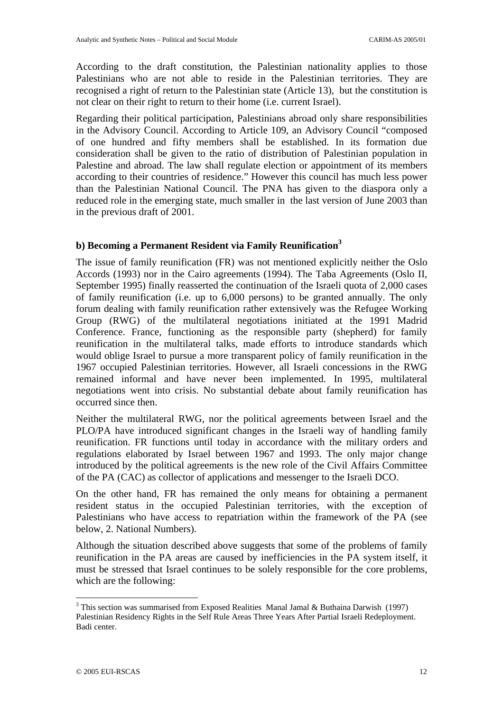According to the draft constitution, the Palestinian nationality applies to those Palestinians who are not able to reside in the Palestinian territories. They are recognised a right of return to the Palestinian state (Article 13), but the constitution is not clear on their right to return to their home (i.e. current Israel).

Regarding their political participation, Palestinians abroad only share responsibilities in the Advisory Council. According to Article 109, an Advisory Council "composed of one hundred and fifty members shall be established. In its formation due consideration shall be given to the ratio of distribution of Palestinian population in Palestine and abroad. The law shall regulate election or appointment of its members according to their countries of residence." However this council has much less power than the Palestinian National Council. The PNA has given to the diaspora only a reduced role in the emerging state, much smaller in the last version of June 2003 than in the previous draft of 2001.

# **b) Becoming a Permanent Resident via Family Reunification[3](#page-12-0)**

The issue of family reunification (FR) was not mentioned explicitly neither the Oslo Accords (1993) nor in the Cairo agreements (1994). The Taba Agreements (Oslo II, September 1995) finally reasserted the continuation of the Israeli quota of 2,000 cases of family reunification (i.e. up to 6,000 persons) to be granted annually. The only forum dealing with family reunification rather extensively was the Refugee Working Group (RWG) of the multilateral negotiations initiated at the 1991 Madrid Conference. France, functioning as the responsible party (shepherd) for family reunification in the multilateral talks, made efforts to introduce standards which would oblige Israel to pursue a more transparent policy of family reunification in the 1967 occupied Palestinian territories. However, all Israeli concessions in the RWG remained informal and have never been implemented. In 1995, multilateral negotiations went into crisis. No substantial debate about family reunification has occurred since then.

Neither the multilateral RWG, nor the political agreements between Israel and the PLO/PA have introduced significant changes in the Israeli way of handling family reunification. FR functions until today in accordance with the military orders and regulations elaborated by Israel between 1967 and 1993. The only major change introduced by the political agreements is the new role of the Civil Affairs Committee of the PA (CAC) as collector of applications and messenger to the Israeli DCO.

On the other hand, FR has remained the only means for obtaining a permanent resident status in the occupied Palestinian territories, with the exception of Palestinians who have access to repatriation within the framework of the PA (see below, 2. National Numbers).

Although the situation described above suggests that some of the problems of family reunification in the PA areas are caused by inefficiencies in the PA system itself, it must be stressed that Israel continues to be solely responsible for the core problems, which are the following:

 $\overline{a}$ 

<span id="page-12-0"></span><sup>&</sup>lt;sup>3</sup> This section was summarised from Exposed Realities Manal Jamal & Buthaina Darwish (1997) Palestinian Residency Rights in the Self Rule Areas Three Years After Partial Israeli Redeployment. Badi center.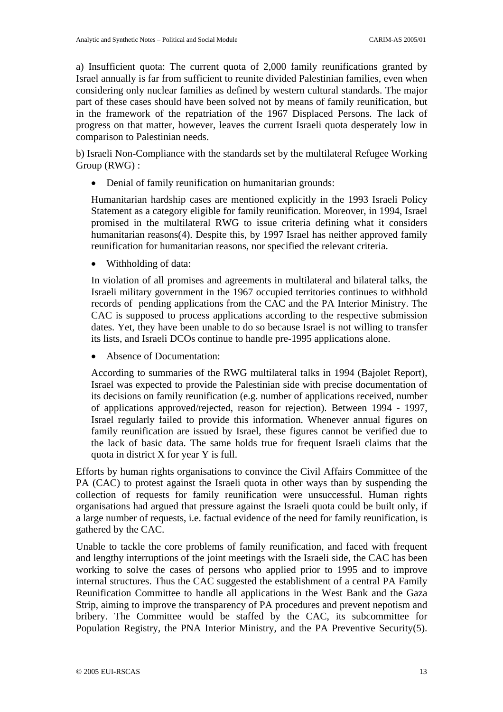a) Insufficient quota: The current quota of 2,000 family reunifications granted by Israel annually is far from sufficient to reunite divided Palestinian families, even when considering only nuclear families as defined by western cultural standards. The major part of these cases should have been solved not by means of family reunification, but in the framework of the repatriation of the 1967 Displaced Persons. The lack of progress on that matter, however, leaves the current Israeli quota desperately low in comparison to Palestinian needs.

b) Israeli Non-Compliance with the standards set by the multilateral Refugee Working Group (RWG) :

• Denial of family reunification on humanitarian grounds:

Humanitarian hardship cases are mentioned explicitly in the 1993 Israeli Policy Statement as a category eligible for family reunification. Moreover, in 1994, Israel promised in the multilateral RWG to issue criteria defining what it considers humanitarian reasons(4). Despite this, by 1997 Israel has neither approved family reunification for humanitarian reasons, nor specified the relevant criteria.

• Withholding of data:

In violation of all promises and agreements in multilateral and bilateral talks, the Israeli military government in the 1967 occupied territories continues to withhold records of pending applications from the CAC and the PA Interior Ministry. The CAC is supposed to process applications according to the respective submission dates. Yet, they have been unable to do so because Israel is not willing to transfer its lists, and Israeli DCOs continue to handle pre-1995 applications alone.

Absence of Documentation:

According to summaries of the RWG multilateral talks in 1994 (Bajolet Report), Israel was expected to provide the Palestinian side with precise documentation of its decisions on family reunification (e.g. number of applications received, number of applications approved/rejected, reason for rejection). Between 1994 - 1997, Israel regularly failed to provide this information. Whenever annual figures on family reunification are issued by Israel, these figures cannot be verified due to the lack of basic data. The same holds true for frequent Israeli claims that the quota in district X for year Y is full.

Efforts by human rights organisations to convince the Civil Affairs Committee of the PA (CAC) to protest against the Israeli quota in other ways than by suspending the collection of requests for family reunification were unsuccessful. Human rights organisations had argued that pressure against the Israeli quota could be built only, if a large number of requests, i.e. factual evidence of the need for family reunification, is gathered by the CAC.

Unable to tackle the core problems of family reunification, and faced with frequent and lengthy interruptions of the joint meetings with the Israeli side, the CAC has been working to solve the cases of persons who applied prior to 1995 and to improve internal structures. Thus the CAC suggested the establishment of a central PA Family Reunification Committee to handle all applications in the West Bank and the Gaza Strip, aiming to improve the transparency of PA procedures and prevent nepotism and bribery. The Committee would be staffed by the CAC, its subcommittee for Population Registry, the PNA Interior Ministry, and the PA Preventive Security(5).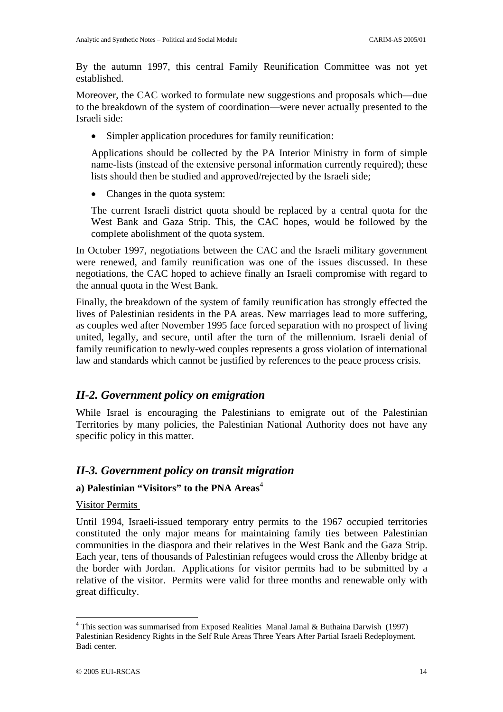By the autumn 1997, this central Family Reunification Committee was not yet established.

Moreover, the CAC worked to formulate new suggestions and proposals which—due to the breakdown of the system of coordination—were never actually presented to the Israeli side:

Simpler application procedures for family reunification:

Applications should be collected by the PA Interior Ministry in form of simple name-lists (instead of the extensive personal information currently required); these lists should then be studied and approved/rejected by the Israeli side;

• Changes in the quota system:

The current Israeli district quota should be replaced by a central quota for the West Bank and Gaza Strip. This, the CAC hopes, would be followed by the complete abolishment of the quota system.

In October 1997, negotiations between the CAC and the Israeli military government were renewed, and family reunification was one of the issues discussed. In these negotiations, the CAC hoped to achieve finally an Israeli compromise with regard to the annual quota in the West Bank.

Finally, the breakdown of the system of family reunification has strongly effected the lives of Palestinian residents in the PA areas. New marriages lead to more suffering, as couples wed after November 1995 face forced separation with no prospect of living united, legally, and secure, until after the turn of the millennium. Israeli denial of family reunification to newly-wed couples represents a gross violation of international law and standards which cannot be justified by references to the peace process crisis.

# *II-2. Government policy on emigration*

While Israel is encouraging the Palestinians to emigrate out of the Palestinian Territories by many policies, the Palestinian National Authority does not have any specific policy in this matter.

# *II-3. Government policy on transit migration*

# a) Palestinian "Visitors" to the PNA Areas<sup>[4](#page-14-0)</sup>

## Visitor Permits

Until 1994, Israeli-issued temporary entry permits to the 1967 occupied territories constituted the only major means for maintaining family ties between Palestinian communities in the diaspora and their relatives in the West Bank and the Gaza Strip. Each year, tens of thousands of Palestinian refugees would cross the Allenby bridge at the border with Jordan. Applications for visitor permits had to be submitted by a relative of the visitor. Permits were valid for three months and renewable only with great difficulty.

 $\overline{a}$ 

<span id="page-14-0"></span><sup>&</sup>lt;sup>4</sup> This section was summarised from Exposed Realities Manal Jamal & Buthaina Darwish (1997) Palestinian Residency Rights in the Self Rule Areas Three Years After Partial Israeli Redeployment. Badi center.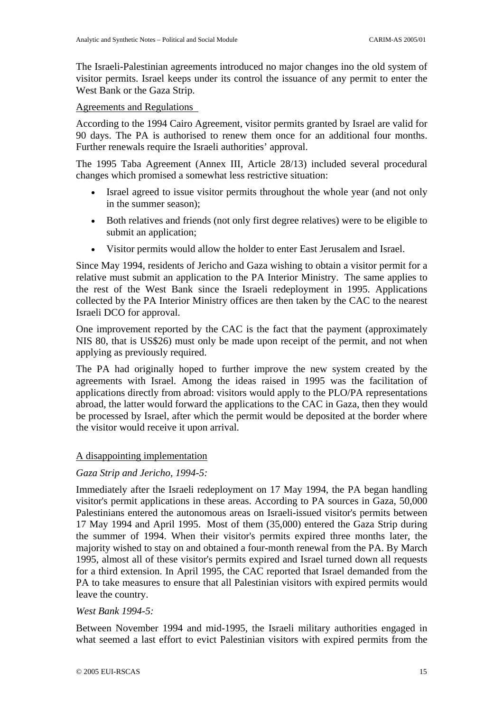The Israeli-Palestinian agreements introduced no major changes ino the old system of visitor permits. Israel keeps under its control the issuance of any permit to enter the West Bank or the Gaza Strip.

## Agreements and Regulations

According to the 1994 Cairo Agreement, visitor permits granted by Israel are valid for 90 days. The PA is authorised to renew them once for an additional four months. Further renewals require the Israeli authorities' approval.

The 1995 Taba Agreement (Annex III, Article 28/13) included several procedural changes which promised a somewhat less restrictive situation:

- Israel agreed to issue visitor permits throughout the whole year (and not only in the summer season);
- Both relatives and friends (not only first degree relatives) were to be eligible to submit an application;
- Visitor permits would allow the holder to enter East Jerusalem and Israel.

Since May 1994, residents of Jericho and Gaza wishing to obtain a visitor permit for a relative must submit an application to the PA Interior Ministry. The same applies to the rest of the West Bank since the Israeli redeployment in 1995. Applications collected by the PA Interior Ministry offices are then taken by the CAC to the nearest Israeli DCO for approval.

One improvement reported by the CAC is the fact that the payment (approximately NIS 80, that is US\$26) must only be made upon receipt of the permit, and not when applying as previously required.

The PA had originally hoped to further improve the new system created by the agreements with Israel. Among the ideas raised in 1995 was the facilitation of applications directly from abroad: visitors would apply to the PLO/PA representations abroad, the latter would forward the applications to the CAC in Gaza, then they would be processed by Israel, after which the permit would be deposited at the border where the visitor would receive it upon arrival.

# A disappointing implementation

# *Gaza Strip and Jericho, 1994-5:*

Immediately after the Israeli redeployment on 17 May 1994, the PA began handling visitor's permit applications in these areas. According to PA sources in Gaza, 50,000 Palestinians entered the autonomous areas on Israeli-issued visitor's permits between 17 May 1994 and April 1995. Most of them (35,000) entered the Gaza Strip during the summer of 1994. When their visitor's permits expired three months later, the majority wished to stay on and obtained a four-month renewal from the PA. By March 1995, almost all of these visitor's permits expired and Israel turned down all requests for a third extension. In April 1995, the CAC reported that Israel demanded from the PA to take measures to ensure that all Palestinian visitors with expired permits would leave the country.

# *West Bank 1994-5:*

Between November 1994 and mid-1995, the Israeli military authorities engaged in what seemed a last effort to evict Palestinian visitors with expired permits from the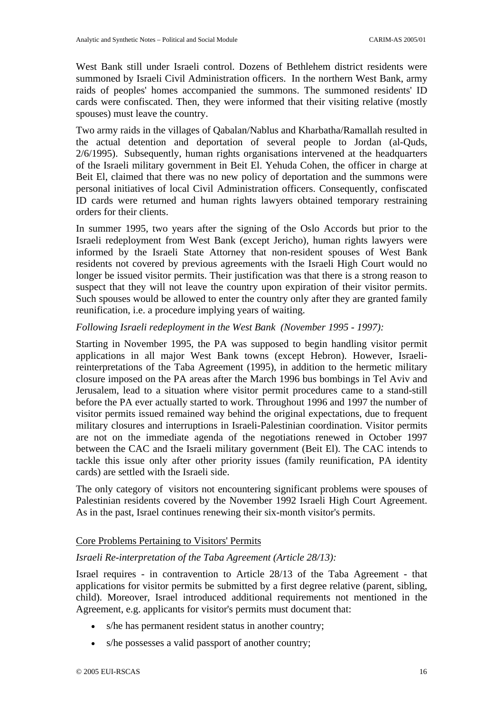West Bank still under Israeli control. Dozens of Bethlehem district residents were summoned by Israeli Civil Administration officers. In the northern West Bank, army raids of peoples' homes accompanied the summons. The summoned residents' ID cards were confiscated. Then, they were informed that their visiting relative (mostly spouses) must leave the country.

Two army raids in the villages of Qabalan/Nablus and Kharbatha/Ramallah resulted in the actual detention and deportation of several people to Jordan (al-Quds, 2/6/1995). Subsequently, human rights organisations intervened at the headquarters of the Israeli military government in Beit El. Yehuda Cohen, the officer in charge at Beit El, claimed that there was no new policy of deportation and the summons were personal initiatives of local Civil Administration officers. Consequently, confiscated ID cards were returned and human rights lawyers obtained temporary restraining orders for their clients.

In summer 1995, two years after the signing of the Oslo Accords but prior to the Israeli redeployment from West Bank (except Jericho), human rights lawyers were informed by the Israeli State Attorney that non-resident spouses of West Bank residents not covered by previous agreements with the Israeli High Court would no longer be issued visitor permits. Their justification was that there is a strong reason to suspect that they will not leave the country upon expiration of their visitor permits. Such spouses would be allowed to enter the country only after they are granted family reunification, i.e. a procedure implying years of waiting.

## *Following Israeli redeployment in the West Bank (November 1995 - 1997):*

Starting in November 1995, the PA was supposed to begin handling visitor permit applications in all major West Bank towns (except Hebron). However, Israelireinterpretations of the Taba Agreement (1995), in addition to the hermetic military closure imposed on the PA areas after the March 1996 bus bombings in Tel Aviv and Jerusalem, lead to a situation where visitor permit procedures came to a stand-still before the PA ever actually started to work. Throughout 1996 and 1997 the number of visitor permits issued remained way behind the original expectations, due to frequent military closures and interruptions in Israeli-Palestinian coordination. Visitor permits are not on the immediate agenda of the negotiations renewed in October 1997 between the CAC and the Israeli military government (Beit El). The CAC intends to tackle this issue only after other priority issues (family reunification, PA identity cards) are settled with the Israeli side.

The only category of visitors not encountering significant problems were spouses of Palestinian residents covered by the November 1992 Israeli High Court Agreement. As in the past, Israel continues renewing their six-month visitor's permits.

## Core Problems Pertaining to Visitors' Permits

## *Israeli Re-interpretation of the Taba Agreement (Article 28/13):*

Israel requires - in contravention to Article 28/13 of the Taba Agreement - that applications for visitor permits be submitted by a first degree relative (parent, sibling, child). Moreover, Israel introduced additional requirements not mentioned in the Agreement, e.g. applicants for visitor's permits must document that:

- s/he has permanent resident status in another country;
- s/he possesses a valid passport of another country;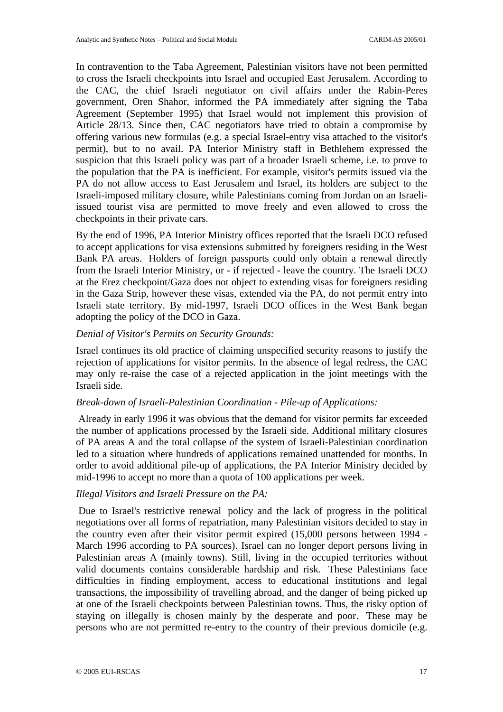In contravention to the Taba Agreement, Palestinian visitors have not been permitted to cross the Israeli checkpoints into Israel and occupied East Jerusalem. According to the CAC, the chief Israeli negotiator on civil affairs under the Rabin-Peres government, Oren Shahor, informed the PA immediately after signing the Taba Agreement (September 1995) that Israel would not implement this provision of Article 28/13. Since then, CAC negotiators have tried to obtain a compromise by offering various new formulas (e.g. a special Israel-entry visa attached to the visitor's permit), but to no avail. PA Interior Ministry staff in Bethlehem expressed the suspicion that this Israeli policy was part of a broader Israeli scheme, i.e. to prove to the population that the PA is inefficient. For example, visitor's permits issued via the PA do not allow access to East Jerusalem and Israel, its holders are subject to the Israeli-imposed military closure, while Palestinians coming from Jordan on an Israeliissued tourist visa are permitted to move freely and even allowed to cross the checkpoints in their private cars.

By the end of 1996, PA Interior Ministry offices reported that the Israeli DCO refused to accept applications for visa extensions submitted by foreigners residing in the West Bank PA areas. Holders of foreign passports could only obtain a renewal directly from the Israeli Interior Ministry, or - if rejected - leave the country. The Israeli DCO at the Erez checkpoint/Gaza does not object to extending visas for foreigners residing in the Gaza Strip, however these visas, extended via the PA, do not permit entry into Israeli state territory. By mid-1997, Israeli DCO offices in the West Bank began adopting the policy of the DCO in Gaza.

#### *Denial of Visitor's Permits on Security Grounds:*

Israel continues its old practice of claiming unspecified security reasons to justify the rejection of applications for visitor permits. In the absence of legal redress, the CAC may only re-raise the case of a rejected application in the joint meetings with the Israeli side.

# *Break-down of Israeli-Palestinian Coordination - Pile-up of Applications:*

Already in early 1996 it was obvious that the demand for visitor permits far exceeded the number of applications processed by the Israeli side. Additional military closures of PA areas A and the total collapse of the system of Israeli-Palestinian coordination led to a situation where hundreds of applications remained unattended for months. In order to avoid additional pile-up of applications, the PA Interior Ministry decided by mid-1996 to accept no more than a quota of 100 applications per week.

# *Illegal Visitors and Israeli Pressure on the PA:*

Due to Israel's restrictive renewal policy and the lack of progress in the political negotiations over all forms of repatriation, many Palestinian visitors decided to stay in the country even after their visitor permit expired (15,000 persons between 1994 - March 1996 according to PA sources). Israel can no longer deport persons living in Palestinian areas A (mainly towns). Still, living in the occupied territories without valid documents contains considerable hardship and risk. These Palestinians face difficulties in finding employment, access to educational institutions and legal transactions, the impossibility of travelling abroad, and the danger of being picked up at one of the Israeli checkpoints between Palestinian towns. Thus, the risky option of staying on illegally is chosen mainly by the desperate and poor. These may be persons who are not permitted re-entry to the country of their previous domicile (e.g.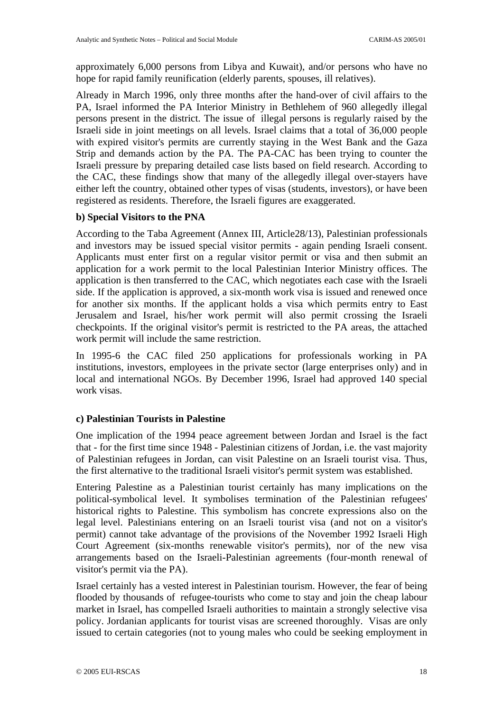approximately 6,000 persons from Libya and Kuwait), and/or persons who have no hope for rapid family reunification (elderly parents, spouses, ill relatives).

Already in March 1996, only three months after the hand-over of civil affairs to the PA, Israel informed the PA Interior Ministry in Bethlehem of 960 allegedly illegal persons present in the district. The issue of illegal persons is regularly raised by the Israeli side in joint meetings on all levels. Israel claims that a total of 36,000 people with expired visitor's permits are currently staying in the West Bank and the Gaza Strip and demands action by the PA. The PA-CAC has been trying to counter the Israeli pressure by preparing detailed case lists based on field research. According to the CAC, these findings show that many of the allegedly illegal over-stayers have either left the country, obtained other types of visas (students, investors), or have been registered as residents. Therefore, the Israeli figures are exaggerated.

# **b) Special Visitors to the PNA**

According to the Taba Agreement (Annex III, Article28/13), Palestinian professionals and investors may be issued special visitor permits - again pending Israeli consent. Applicants must enter first on a regular visitor permit or visa and then submit an application for a work permit to the local Palestinian Interior Ministry offices. The application is then transferred to the CAC, which negotiates each case with the Israeli side. If the application is approved, a six-month work visa is issued and renewed once for another six months. If the applicant holds a visa which permits entry to East Jerusalem and Israel, his/her work permit will also permit crossing the Israeli checkpoints. If the original visitor's permit is restricted to the PA areas, the attached work permit will include the same restriction.

In 1995-6 the CAC filed 250 applications for professionals working in PA institutions, investors, employees in the private sector (large enterprises only) and in local and international NGOs. By December 1996, Israel had approved 140 special work visas.

# **c) Palestinian Tourists in Palestine**

One implication of the 1994 peace agreement between Jordan and Israel is the fact that - for the first time since 1948 - Palestinian citizens of Jordan, i.e. the vast majority of Palestinian refugees in Jordan, can visit Palestine on an Israeli tourist visa. Thus, the first alternative to the traditional Israeli visitor's permit system was established.

Entering Palestine as a Palestinian tourist certainly has many implications on the political-symbolical level. It symbolises termination of the Palestinian refugees' historical rights to Palestine. This symbolism has concrete expressions also on the legal level. Palestinians entering on an Israeli tourist visa (and not on a visitor's permit) cannot take advantage of the provisions of the November 1992 Israeli High Court Agreement (six-months renewable visitor's permits), nor of the new visa arrangements based on the Israeli-Palestinian agreements (four-month renewal of visitor's permit via the PA).

Israel certainly has a vested interest in Palestinian tourism. However, the fear of being flooded by thousands of refugee-tourists who come to stay and join the cheap labour market in Israel, has compelled Israeli authorities to maintain a strongly selective visa policy. Jordanian applicants for tourist visas are screened thoroughly. Visas are only issued to certain categories (not to young males who could be seeking employment in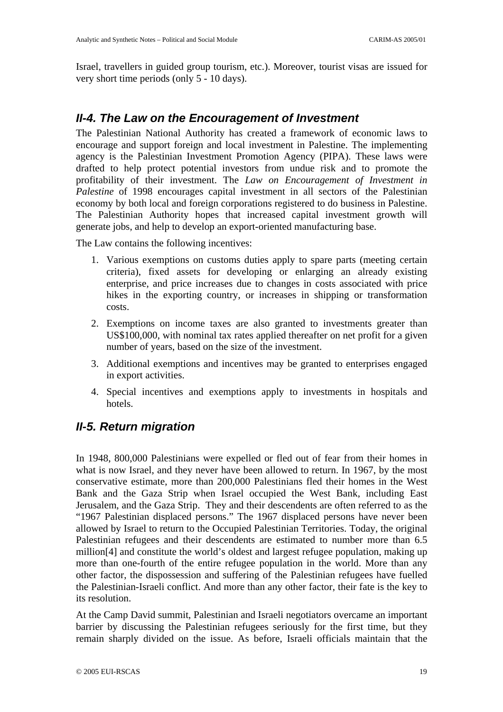Israel, travellers in guided group tourism, etc.). Moreover, tourist visas are issued for very short time periods (only 5 - 10 days).

# *II-4. The Law on the Encouragement of Investment*

The Palestinian National Authority has created a framework of economic laws to encourage and support foreign and local investment in Palestine. The implementing agency is the Palestinian Investment Promotion Agency (PIPA). These laws were drafted to help protect potential investors from undue risk and to promote the profitability of their investment. The *Law on Encouragement of Investment in Palestine* of 1998 encourages capital investment in all sectors of the Palestinian economy by both local and foreign corporations registered to do business in Palestine. The Palestinian Authority hopes that increased capital investment growth will generate jobs, and help to develop an export-oriented manufacturing base.

The Law contains the following incentives:

- 1. Various exemptions on customs duties apply to spare parts (meeting certain criteria), fixed assets for developing or enlarging an already existing enterprise, and price increases due to changes in costs associated with price hikes in the exporting country, or increases in shipping or transformation costs.
- 2. Exemptions on income taxes are also granted to investments greater than US\$100,000, with nominal tax rates applied thereafter on net profit for a given number of years, based on the size of the investment.
- 3. Additional exemptions and incentives may be granted to enterprises engaged in export activities.
- 4. Special incentives and exemptions apply to investments in hospitals and hotels.

# *II-5. Return migration*

In 1948, 800,000 Palestinians were expelled or fled out of fear from their homes in what is now Israel, and they never have been allowed to return. In 1967, by the most conservative estimate, more than 200,000 Palestinians fled their homes in the West Bank and the Gaza Strip when Israel occupied the West Bank, including East Jerusalem, and the Gaza Strip. They and their descendents are often referred to as the "1967 Palestinian displaced persons." The 1967 displaced persons have never been allowed by Israel to return to the Occupied Palestinian Territories. Today, the original Palestinian refugees and their descendents are estimated to number more than 6.5 million[4] and constitute the world's oldest and largest refugee population, making up more than one-fourth of the entire refugee population in the world. More than any other factor, the dispossession and suffering of the Palestinian refugees have fuelled the Palestinian-Israeli conflict. And more than any other factor, their fate is the key to its resolution.

At the Camp David summit, Palestinian and Israeli negotiators overcame an important barrier by discussing the Palestinian refugees seriously for the first time, but they remain sharply divided on the issue. As before, Israeli officials maintain that the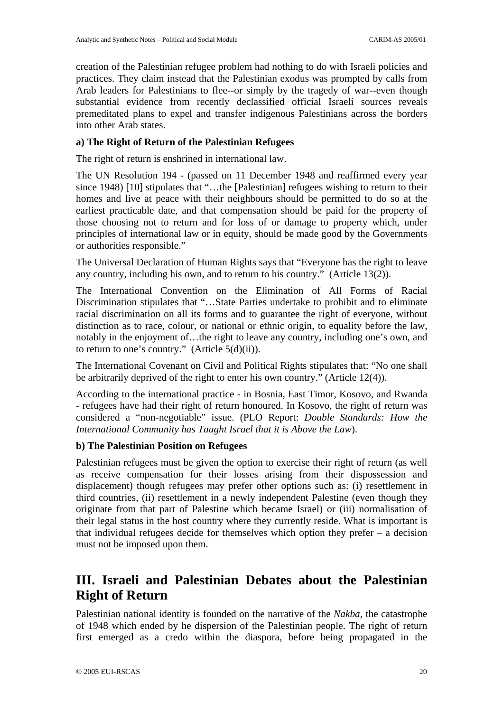creation of the Palestinian refugee problem had nothing to do with Israeli policies and practices. They claim instead that the Palestinian exodus was prompted by calls from Arab leaders for Palestinians to flee--or simply by the tragedy of war--even though substantial evidence from recently declassified official Israeli sources reveals premeditated plans to expel and transfer indigenous Palestinians across the borders into other Arab states.

# **a) The Right of Return of the Palestinian Refugees**

The right of return is enshrined in international law.

The UN Resolution 194 - (passed on 11 December 1948 and reaffirmed every year since 1948) [10] stipulates that "...the [Palestinian] refugees wishing to return to their homes and live at peace with their neighbours should be permitted to do so at the earliest practicable date, and that compensation should be paid for the property of those choosing not to return and for loss of or damage to property which, under principles of international law or in equity, should be made good by the Governments or authorities responsible."

The Universal Declaration of Human Rights says that "Everyone has the right to leave any country, including his own, and to return to his country." (Article 13(2)).

The International Convention on the Elimination of All Forms of Racial Discrimination stipulates that "…State Parties undertake to prohibit and to eliminate racial discrimination on all its forms and to guarantee the right of everyone, without distinction as to race, colour, or national or ethnic origin, to equality before the law, notably in the enjoyment of…the right to leave any country, including one's own, and to return to one's country." (Article  $5(d)(ii)$ ).

The International Covenant on Civil and Political Rights stipulates that: "No one shall be arbitrarily deprived of the right to enter his own country." (Article 12(4)).

According to the international practice - in Bosnia, East Timor, Kosovo, and Rwanda - refugees have had their right of return honoured. In Kosovo, the right of return was considered a "non-negotiable" issue. (PLO Report: *Double Standards: How the International Community has Taught Israel that it is Above the Law*).

## **b) The Palestinian Position on Refugees**

Palestinian refugees must be given the option to exercise their right of return (as well as receive compensation for their losses arising from their dispossession and displacement) though refugees may prefer other options such as: (i) resettlement in third countries, (ii) resettlement in a newly independent Palestine (even though they originate from that part of Palestine which became Israel) or (iii) normalisation of their legal status in the host country where they currently reside. What is important is that individual refugees decide for themselves which option they prefer – a decision must not be imposed upon them.

# **III. Israeli and Palestinian Debates about the Palestinian Right of Return**

Palestinian national identity is founded on the narrative of the *Nakba*, the catastrophe of 1948 which ended by he dispersion of the Palestinian people. The right of return first emerged as a credo within the diaspora, before being propagated in the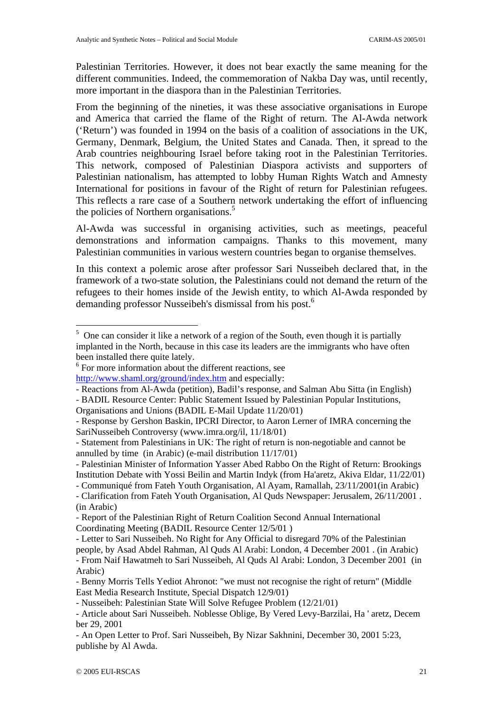Palestinian Territories. However, it does not bear exactly the same meaning for the different communities. Indeed, the commemoration of Nakba Day was, until recently, more important in the diaspora than in the Palestinian Territories.

From the beginning of the nineties, it was these associative organisations in Europe and America that carried the flame of the Right of return. The Al-Awda network ('Return') was founded in 1994 on the basis of a coalition of associations in the UK, Germany, Denmark, Belgium, the United States and Canada. Then, it spread to the Arab countries neighbouring Israel before taking root in the Palestinian Territories. This network, composed of Palestinian Diaspora activists and supporters of Palestinian nationalism, has attempted to lobby Human Rights Watch and Amnesty International for positions in favour of the Right of return for Palestinian refugees. This reflects a rare case of a Southern network undertaking the effort of influencing the policies of Northern organisations.<sup>[5](#page-21-0)</sup>

Al-Awda was successful in organising activities, such as meetings, peaceful demonstrations and information campaigns. Thanks to this movement, many Palestinian communities in various western countries began to organise themselves.

In this context a polemic arose after professor Sari Nusseibeh declared that, in the framework of a two-state solution, the Palestinians could not demand the return of the refugees to their homes inside of the Jewish entity, to which Al-Awda responded by demanding professor Nusseibeh's dismissal from his post.<sup>[6](#page-21-1)</sup>

 $\overline{a}$ 

<span id="page-21-0"></span> $5$  One can consider it like a network of a region of the South, even though it is partially implanted in the North, because in this case its leaders are the immigrants who have often been installed there quite lately.

<span id="page-21-1"></span> $6$  For more information about the different reactions, see <http://www.shaml.org/ground/index.htm>and especially:

<sup>-</sup> Reactions from Al-Awda (petition), Badil's response, and Salman Abu Sitta (in English)

<sup>-</sup> BADIL Resource Center: Public Statement Issued by Palestinian Popular Institutions,

Organisations and Unions (BADIL E-Mail Update 11/20/01)

<sup>-</sup> Response by Gershon Baskin, IPCRI Director, to Aaron Lerner of IMRA concerning the SariNusseibeh Controversy (www.imra.org/il, 11/18/01)

<sup>-</sup> Statement from Palestinians in UK: The right of return is non-negotiable and cannot be annulled by time (in Arabic) (e-mail distribution 11/17/01)

<sup>-</sup> Palestinian Minister of Information Yasser Abed Rabbo On the Right of Return: Brookings Institution Debate with Yossi Beilin and Martin Indyk (from Ha'aretz, Akiva Eldar, 11/22/01)

<sup>-</sup> Communiqué from Fateh Youth Organisation, Al Ayam, Ramallah, 23/11/2001(in Arabic)

<sup>-</sup> Clarification from Fateh Youth Organisation, Al Quds Newspaper: Jerusalem, 26/11/2001 . (in Arabic)

<sup>-</sup> Report of the Palestinian Right of Return Coalition Second Annual International Coordinating Meeting (BADIL Resource Center 12/5/01 )

<sup>-</sup> Letter to Sari Nusseibeh. No Right for Any Official to disregard 70% of the Palestinian

people, by Asad Abdel Rahman, Al Quds Al Arabi: London, 4 December 2001 . (in Arabic) - From Naif Hawatmeh to Sari Nusseibeh, Al Quds Al Arabi: London, 3 December 2001 (in Arabic)

<sup>-</sup> Benny Morris Tells Yediot Ahronot: "we must not recognise the right of return" (Middle East Media Research Institute, Special Dispatch 12/9/01)

<sup>-</sup> Nusseibeh: Palestinian State Will Solve Refugee Problem (12/21/01)

<sup>-</sup> Article about Sari Nusseibeh. Noblesse Oblige, By Vered Levy-Barzilai, Ha ' aretz, Decem ber 29, 2001

<sup>-</sup> An Open Letter to Prof. Sari Nusseibeh, By Nizar Sakhnini, December 30, 2001 5:23, publishe by Al Awda.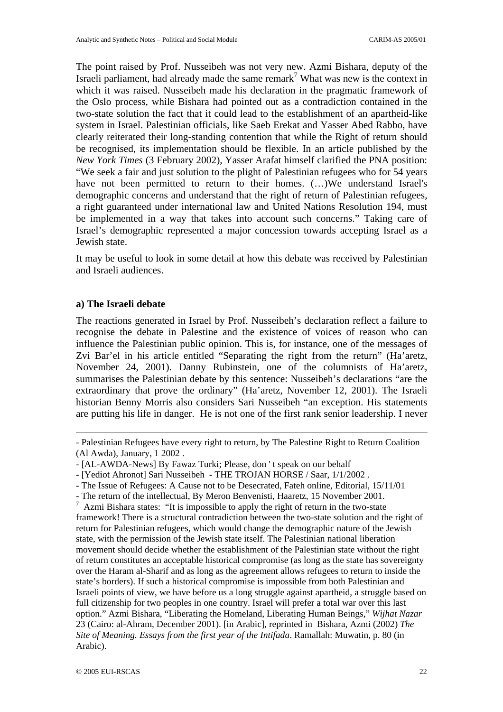The point raised by Prof. Nusseibeh was not very new. Azmi Bishara, deputy of the Israeli parliament, had already made the same remark<sup>7</sup> [W](#page-22-0)hat was new is the context in which it was raised. Nusseibeh made his declaration in the pragmatic framework of the Oslo process, while Bishara had pointed out as a contradiction contained in the two-state solution the fact that it could lead to the establishment of an apartheid-like system in Israel. Palestinian officials, like Saeb Erekat and Yasser Abed Rabbo, have clearly reiterated their long-standing contention that while the Right of return should be recognised, its implementation should be flexible. In an article published by the *New York Times* (3 February 2002), Yasser Arafat himself clarified the PNA position: "We seek a fair and just solution to the plight of Palestinian refugees who for 54 years have not been permitted to return to their homes. (...) We understand Israel's demographic concerns and understand that the right of return of Palestinian refugees, a right guaranteed under international law and United Nations Resolution 194, must be implemented in a way that takes into account such concerns." Taking care of Israel's demographic represented a major concession towards accepting Israel as a Jewish state.

It may be useful to look in some detail at how this debate was received by Palestinian and Israeli audiences.

## **a) The Israeli debate**

1

The reactions generated in Israel by Prof. Nusseibeh's declaration reflect a failure to recognise the debate in Palestine and the existence of voices of reason who can influence the Palestinian public opinion. This is, for instance, one of the messages of Zvi Bar'el in his article entitled "Separating the right from the return" (Ha'aretz, November 24, 2001). Danny Rubinstein, one of the columnists of Ha'aretz, summarises the Palestinian debate by this sentence: Nusseibeh's declarations "are the extraordinary that prove the ordinary" (Ha'aretz, November 12, 2001). The Israeli historian Benny Morris also considers Sari Nusseibeh "an exception. His statements are putting his life in danger. He is not one of the first rank senior leadership. I never

<sup>-</sup> Palestinian Refugees have every right to return, by The Palestine Right to Return Coalition (Al Awda), January, 1 2002 .

<sup>- [</sup>AL-AWDA-News] By Fawaz Turki; Please, don ' t speak on our behalf

<sup>- [</sup>Yediot Ahronot] Sari Nusseibeh - THE TROJAN HORSE / Saar, 1/1/2002 .

<sup>-</sup> The Issue of Refugees: A Cause not to be Desecrated, Fateh online, Editorial, 15/11/01

<sup>-</sup> The return of the intellectual, By Meron Benvenisti, Haaretz, 15 November 2001.

<span id="page-22-0"></span><sup>7</sup> Azmi Bishara states: "It is impossible to apply the right of return in the two-state framework! There is a structural contradiction between the two-state solution and the right of return for Palestinian refugees, which would change the demographic nature of the Jewish state, with the permission of the Jewish state itself. The Palestinian national liberation movement should decide whether the establishment of the Palestinian state without the right of return constitutes an acceptable historical compromise (as long as the state has sovereignty over the Haram al-Sharif and as long as the agreement allows refugees to return to inside the state's borders). If such a historical compromise is impossible from both Palestinian and Israeli points of view, we have before us a long struggle against apartheid, a struggle based on full citizenship for two peoples in one country. Israel will prefer a total war over this last option." Azmi Bishara, "Liberating the Homeland, Liberating Human Beings," *Wijhat Nazar*  23 (Cairo: al-Ahram, December 2001). [in Arabic], reprinted in Bishara, Azmi (2002) *The Site of Meaning. Essays from the first year of the Intifada*. Ramallah: Muwatin, p. 80 (in Arabic).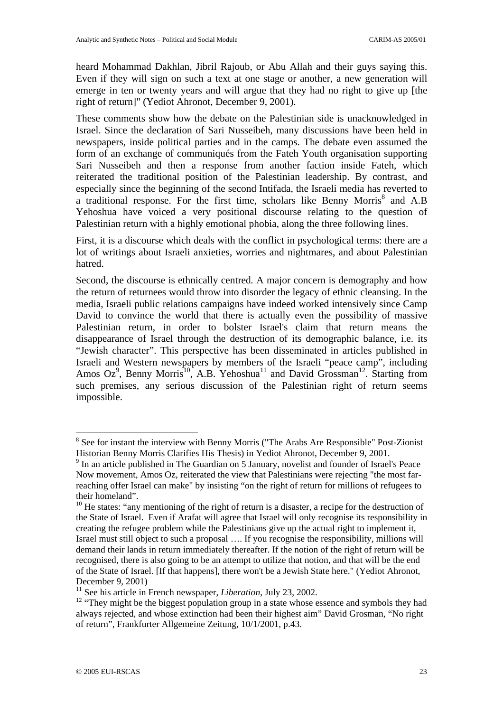heard Mohammad Dakhlan, Jibril Rajoub, or Abu Allah and their guys saying this. Even if they will sign on such a text at one stage or another, a new generation will emerge in ten or twenty years and will argue that they had no right to give up [the right of return]" (Yediot Ahronot, December 9, 2001).

These comments show how the debate on the Palestinian side is unacknowledged in Israel. Since the declaration of Sari Nusseibeh, many discussions have been held in newspapers, inside political parties and in the camps. The debate even assumed the form of an exchange of communiqués from the Fateh Youth organisation supporting Sari Nusseibeh and then a response from another faction inside Fateh, which reiterated the traditional position of the Palestinian leadership. By contrast, and especially since the beginning of the second Intifada, the Israeli media has reverted to a traditional response. For the first time, scholars like Benny Morris<sup>[8](#page-23-0)</sup> and A.B Yehoshua have voiced a very positional discourse relating to the question of Palestinian return with a highly emotional phobia, along the three following lines.

First, it is a discourse which deals with the conflict in psychological terms: there are a lot of writings about Israeli anxieties, worries and nightmares, and about Palestinian hatred.

Second, the discourse is ethnically centred*.* A major concern is demography and how the return of returnees would throw into disorder the legacy of ethnic cleansing. In the media, Israeli public relations campaigns have indeed worked intensively since Camp David to convince the world that there is actually even the possibility of massive Palestinian return, in order to bolster Israel's claim that return means the disappearance of Israel through the destruction of its demographic balance, i.e. its "Jewish character". This perspective has been disseminated in articles published in Israeli and Western newspapers by members of the Israeli "peace camp", including Amos Oz<sup>9</sup>[,](#page-23-1) Benny Morris<sup>10</sup>, A.B. Yehoshua<sup>11</sup> and David Grossman<sup>12</sup>. Starting from such premises, any serious discussion of the Palestinian right of return seems impossible.

<span id="page-23-0"></span><sup>&</sup>lt;sup>8</sup> See for instant the interview with Benny Morris ("The Arabs Are Responsible" Post-Zionist Historian Benny Morris Clarifies His Thesis) in Yediot Ahronot, December 9, 2001.

<span id="page-23-1"></span><sup>&</sup>lt;sup>9</sup> In an article published in The Guardian on 5 January, novelist and founder of Israel's Peace Now movement, Amos Oz, reiterated the view that Palestinians were rejecting "the most farreaching offer Israel can make" by insisting "on the right of return for millions of refugees to their homeland".

<span id="page-23-2"></span> $10$  He states: "any mentioning of the right of return is a disaster, a recipe for the destruction of the State of Israel. Even if Arafat will agree that Israel will only recognise its responsibility in creating the refugee problem while the Palestinians give up the actual right to implement it, Israel must still object to such a proposal …. If you recognise the responsibility, millions will demand their lands in return immediately thereafter. If the notion of the right of return will be recognised, there is also going to be an attempt to utilize that notion, and that will be the end of the State of Israel. [If that happens], there won't be a Jewish State here." (Yediot Ahronot, December 9, 2001)

<span id="page-23-3"></span><sup>&</sup>lt;sup>11</sup> See his article in French newspaper, *Liberation*, July 23, 2002.

<span id="page-23-4"></span> $12$  "They might be the biggest population group in a state whose essence and symbols they had always rejected, and whose extinction had been their highest aim" David Grosman, "No right of return", Frankfurter Allgemeine Zeitung, 10/1/2001, p.43.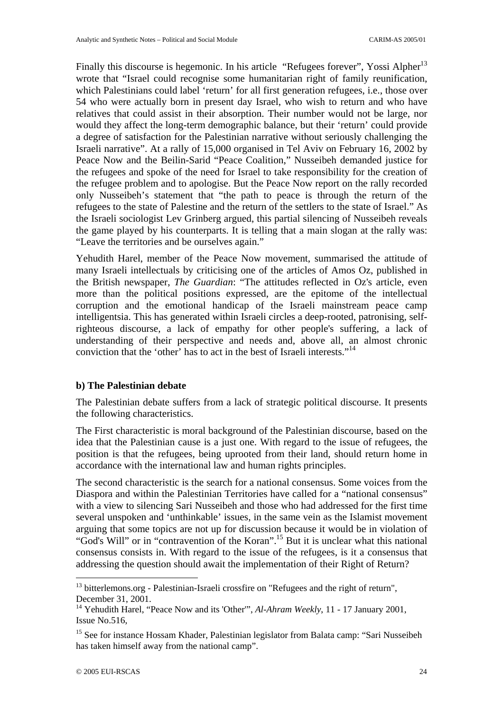Finally this discourse is hegemonic. In his article "Refugees forever", Yossi Alpher<sup>13</sup> wrote that "Israel could recognise some humanitarian right of family reunification, which Palestinians could label 'return' for all first generation refugees, i.e., those over 54 who were actually born in present day Israel, who wish to return and who have relatives that could assist in their absorption. Their number would not be large, nor would they affect the long-term demographic balance, but their 'return' could provide a degree of satisfaction for the Palestinian narrative without seriously challenging the Israeli narrative". At a rally of 15,000 organised in Tel Aviv on February 16, 2002 by Peace Now and the Beilin-Sarid "Peace Coalition," Nusseibeh demanded justice for the refugees and spoke of the need for Israel to take responsibility for the creation of the refugee problem and to apologise. But the Peace Now report on the rally recorded only Nusseibeh's statement that "the path to peace is through the return of the refugees to the state of Palestine and the return of the settlers to the state of Israel." As the Israeli sociologist Lev Grinberg argued, this partial silencing of Nusseibeh reveals the game played by his counterparts. It is telling that a main slogan at the rally was: "Leave the territories and be ourselves again."

Yehudith Harel, member of the Peace Now movement, summarised the attitude of many Israeli intellectuals by criticising one of the articles of Amos Oz, published in the British newspaper, *The Guardian*: "The attitudes reflected in Oz's article, even more than the political positions expressed, are the epitome of the intellectual corruption and the emotional handicap of the Israeli mainstream peace camp intelligentsia. This has generated within Israeli circles a deep-rooted, patronising, selfrighteous discourse, a lack of empathy for other people's suffering, a lack of understanding of their perspective and needs and, above all, an almost chronic conviction that the 'other' has to act in the best of Israeli interests."[14](#page-24-1) 

## **b) The Palestinian debate**

The Palestinian debate suffers from a lack of strategic political discourse. It presents the following characteristics.

The First characteristic is moral background of the Palestinian discourse, based on the idea that the Palestinian cause is a just one. With regard to the issue of refugees, the position is that the refugees, being uprooted from their land, should return home in accordance with the international law and human rights principles.

The second characteristic is the search for a national consensus. Some voices from the Diaspora and within the Palestinian Territories have called for a "national consensus" with a view to silencing Sari Nusseibeh and those who had addressed for the first time several unspoken and 'unthinkable' issues, in the same vein as the Islamist movement arguing that some topics are not up for discussion because it would be in violation of "God's Will" or in "contravention of the Koran".<sup>15</sup> But it is unclear what this national consensus consists in. With regard to the issue of the refugees, is it a consensus that addressing the question should await the implementation of their Right of Return?

 $\overline{a}$ 

<span id="page-24-0"></span><sup>&</sup>lt;sup>13</sup> bitterlemons.org - Palestinian-Israeli crossfire on "Refugees and the right of return", December 31, 2001.

<span id="page-24-1"></span><sup>14</sup> Yehudith Harel, "Peace Now and its 'Other'", *Al-Ahram Weekly*, 11 - 17 January 2001, Issue No.516,

<span id="page-24-2"></span><sup>&</sup>lt;sup>15</sup> See for instance Hossam Khader, Palestinian legislator from Balata camp: "Sari Nusseibeh has taken himself away from the national camp".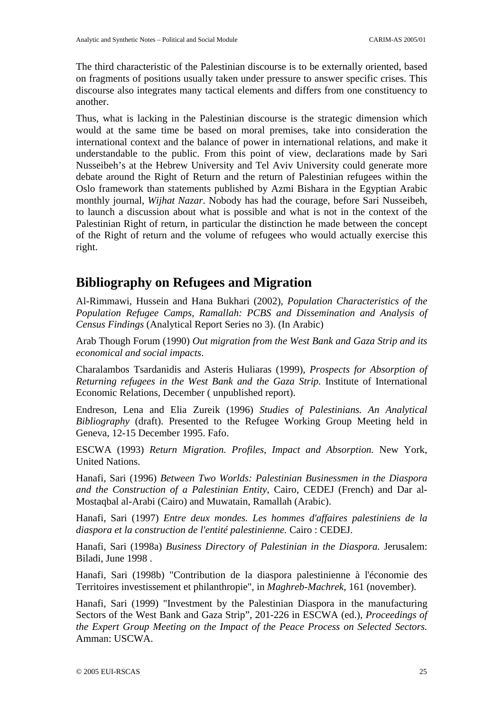The third characteristic of the Palestinian discourse is to be externally oriented, based on fragments of positions usually taken under pressure to answer specific crises. This discourse also integrates many tactical elements and differs from one constituency to another.

Thus, what is lacking in the Palestinian discourse is the strategic dimension which would at the same time be based on moral premises, take into consideration the international context and the balance of power in international relations, and make it understandable to the public. From this point of view, declarations made by Sari Nusseibeh's at the Hebrew University and Tel Aviv University could generate more debate around the Right of Return and the return of Palestinian refugees within the Oslo framework than statements published by Azmi Bishara in the Egyptian Arabic monthly journal, *Wijhat Nazar*. Nobody has had the courage, before Sari Nusseibeh, to launch a discussion about what is possible and what is not in the context of the Palestinian Right of return, in particular the distinction he made between the concept of the Right of return and the volume of refugees who would actually exercise this right.

# **Bibliography on Refugees and Migration**

Al-Rimmawi, Hussein and Hana Bukhari (2002), *Population Characteristics of the Population Refugee Camps, Ramallah: PCBS and Dissemination and Analysis of Census Findings* (Analytical Report Series no 3). (In Arabic)

Arab Though Forum (1990) *Out migration from the West Bank and Gaza Strip and its economical and social impacts*.

Charalambos Tsardanidis and Asteris Huliaras (1999), *Prospects for Absorption of Returning refugees in the West Bank and the Gaza Strip.* Institute of International Economic Relations, December ( unpublished report).

Endreson, Lena and Elia Zureik (1996) *Studies of Palestinians. An Analytical Bibliography* (draft). Presented to the Refugee Working Group Meeting held in Geneva, 12-15 December 1995. Fafo.

ESCWA (1993) *Return Migration. Profiles, Impact and Absorption.* New York, United Nations.

Hanafi, Sari (1996) *Between Two Worlds: Palestinian Businessmen in the Diaspora and the Construction of a Palestinian Entity*, Cairo, CEDEJ (French) and Dar al-Mostaqbal al-Arabi (Cairo) and Muwatain, Ramallah (Arabic).

Hanafi, Sari (1997) *Entre deux mondes. Les hommes d'affaires palestiniens de la diaspora et la construction de l'entité palestinienne.* Cairo : CEDEJ.

Hanafi, Sari (1998a) *Business Directory of Palestinian in the Diaspora.* Jerusalem: Biladi, June 1998 .

Hanafi, Sari (1998b) "Contribution de la diaspora palestinienne à l'économie des Territoires investissement et philanthropie", in *Maghreb-Machrek*, 161 (november).

Hanafi, Sari (1999) "Investment by the Palestinian Diaspora in the manufacturing Sectors of the West Bank and Gaza Strip", 201-226 in ESCWA (ed.), *Proceedings of the Expert Group Meeting on the Impact of the Peace Process on Selected Sectors.*  Amman: USCWA.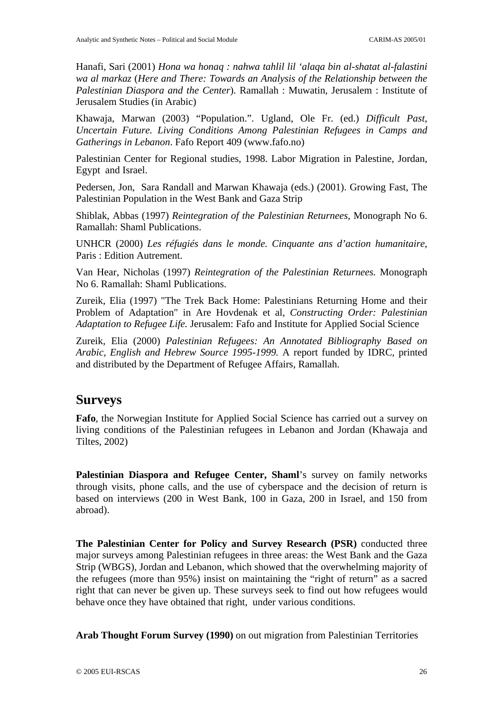Hanafi, Sari (2001) *Hona wa honaq : nahwa tahlil lil 'alaqa bin al-shatat al-falastini wa al markaz* (*Here and There: Towards an Analysis of the Relationship between the Palestinian Diaspora and the Center*). Ramallah : Muwatin, Jerusalem : Institute of Jerusalem Studies (in Arabic)

Khawaja, Marwan (2003) "Population.". Ugland, Ole Fr. (ed.) *Difficult Past, Uncertain Future. Living Conditions Among Palestinian Refugees in Camps and Gatherings in Lebanon*. Fafo Report 409 (www.fafo.no)

Palestinian Center for Regional studies, 1998. Labor Migration in Palestine, Jordan, Egypt and Israel.

Pedersen, Jon, Sara Randall and Marwan Khawaja (eds.) (2001). Growing Fast, The Palestinian Population in the West Bank and Gaza Strip

Shiblak, Abbas (1997) *Reintegration of the Palestinian Returnees*, Monograph No 6. Ramallah: Shaml Publications.

UNHCR (2000) *Les réfugiés dans le monde. Cinquante ans d'action humanitaire*, Paris : Edition Autrement.

Van Hear, Nicholas (1997) *Reintegration of the Palestinian Returnees.* Monograph No 6. Ramallah: Shaml Publications.

Zureik, Elia (1997) "The Trek Back Home: Palestinians Returning Home and their Problem of Adaptation" in Are Hovdenak et al, *Constructing Order: Palestinian Adaptation to Refugee Life.* Jerusalem: Fafo and Institute for Applied Social Science

Zureik, Elia (2000) *Palestinian Refugees: An Annotated Bibliography Based on Arabic, English and Hebrew Source 1995-1999.* A report funded by IDRC, printed and distributed by the Department of Refugee Affairs, Ramallah.

# **Surveys**

**Fafo**, the Norwegian Institute for Applied Social Science has carried out a survey on living conditions of the Palestinian refugees in Lebanon and Jordan (Khawaja and Tiltes, 2002)

**Palestinian Diaspora and Refugee Center, Shaml**'s survey on family networks through visits, phone calls, and the use of cyberspace and the decision of return is based on interviews (200 in West Bank, 100 in Gaza, 200 in Israel, and 150 from abroad).

**The Palestinian Center for Policy and Survey Research (PSR)** conducted three major surveys among Palestinian refugees in three areas: the West Bank and the Gaza Strip (WBGS), Jordan and Lebanon, which showed that the overwhelming majority of the refugees (more than 95%) insist on maintaining the "right of return" as a sacred right that can never be given up. These surveys seek to find out how refugees would behave once they have obtained that right, under various conditions.

**Arab Thought Forum Survey (1990)** on out migration from Palestinian Territories